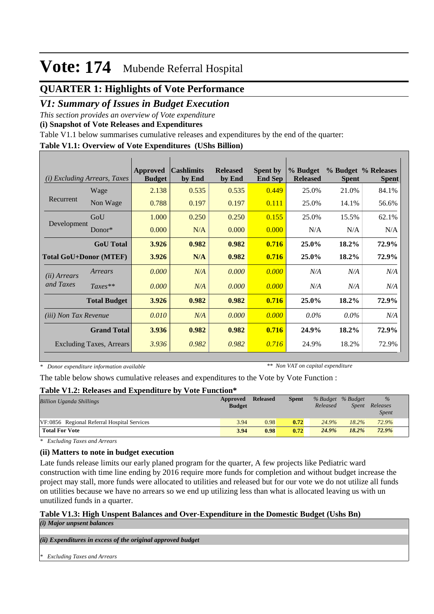## **QUARTER 1: Highlights of Vote Performance**

## *V1: Summary of Issues in Budget Execution*

*This section provides an overview of Vote expenditure* 

**(i) Snapshot of Vote Releases and Expenditures**

Table V1.1 below summarises cumulative releases and expenditures by the end of the quarter:

### **Table V1.1: Overview of Vote Expenditures (UShs Billion)**

| (i)                           | Excluding Arrears, Taxes        | <b>Approved</b><br><b>Budget</b> | <b>Cashlimits</b><br>by End | <b>Released</b><br>by End | <b>Spent by</b><br><b>End Sep</b> | % Budget<br><b>Released</b> | <b>Spent</b> | % Budget % Releases<br><b>Spent</b> |
|-------------------------------|---------------------------------|----------------------------------|-----------------------------|---------------------------|-----------------------------------|-----------------------------|--------------|-------------------------------------|
|                               | Wage                            | 2.138                            | 0.535                       | 0.535                     | 0.449                             | 25.0%                       | 21.0%        | 84.1%                               |
| Recurrent                     | Non Wage                        | 0.788                            | 0.197                       | 0.197                     | 0.111                             | 25.0%                       | 14.1%        | 56.6%                               |
| Development                   | GoU                             | 1.000                            | 0.250                       | 0.250                     | 0.155                             | 25.0%                       | 15.5%        | 62.1%                               |
|                               | $Donor*$                        | 0.000                            | N/A                         | 0.000                     | 0.000                             | N/A                         | N/A          | N/A                                 |
|                               | <b>GoU</b> Total                | 3.926                            | 0.982                       | 0.982                     | 0.716                             | 25.0%                       | 18.2%        | 72.9%                               |
| <b>Total GoU+Donor (MTEF)</b> |                                 | 3.926                            | N/A                         | 0.982                     | 0.716                             | 25.0%                       | 18.2%        | 72.9%                               |
| ( <i>ii</i> ) Arrears         | Arrears                         | 0.000                            | N/A                         | 0.000                     | 0.000                             | N/A                         | N/A          | N/A                                 |
| and Taxes                     | $Taxes**$                       | 0.000                            | N/A                         | 0.000                     | 0.000                             | N/A                         | N/A          | N/A                                 |
|                               | <b>Total Budget</b>             | 3.926                            | 0.982                       | 0.982                     | 0.716                             | 25.0%                       | 18.2%        | 72.9%                               |
| <i>(iii)</i> Non Tax Revenue  |                                 | 0.010                            | N/A                         | 0.000                     | 0.000                             | $0.0\%$                     | $0.0\%$      | N/A                                 |
|                               | <b>Grand Total</b>              | 3.936                            | 0.982                       | 0.982                     | 0.716                             | 24.9%                       | 18.2%        | 72.9%                               |
|                               | <b>Excluding Taxes, Arrears</b> | 3.936                            | 0.982                       | 0.982                     | 0.716                             | 24.9%                       | 18.2%        | 72.9%                               |

*\* Donor expenditure information available*

*\*\* Non VAT on capital expenditure*

The table below shows cumulative releases and expenditures to the Vote by Vote Function :

#### **Table V1.2: Releases and Expenditure by Vote Function\***

| <b>Billion Uganda Shillings</b>             | Approved<br><b>Budget</b> | <b>Released</b> | <b>Spent</b> | % Budget % Budget<br>Released | Spent | $\frac{9}{6}$<br>Releases<br><i>Spent</i> |  |
|---------------------------------------------|---------------------------|-----------------|--------------|-------------------------------|-------|-------------------------------------------|--|
| VF:0856 Regional Referral Hospital Services | 3.94                      | 0.98            | 0.72         | 24.9%                         | 18.2% | 72.9%                                     |  |
| <b>Total For Vote</b>                       | 3.94                      | 0.98            | 0.72         | 24.9%                         | 18.2% | 72.9%                                     |  |

*\* Excluding Taxes and Arrears*

### **(ii) Matters to note in budget execution**

Late funds release limits our early planed program for the quarter, A few projects like Pediatric ward construction with time line ending by 2016 require more funds for completion and without budget increase the project may stall, more funds were allocated to utilities and released but for our vote we do not utilize all funds on utilities because we have no arrears so we end up utilizing less than what is allocated leaving us with un unutilized funds in a quarter.

#### **Table V1.3: High Unspent Balances and Over-Expenditure in the Domestic Budget (Ushs Bn)** *(i) Major unpsent balances*

*(ii) Expenditures in excess of the original approved budget*

*\* Excluding Taxes and Arrears*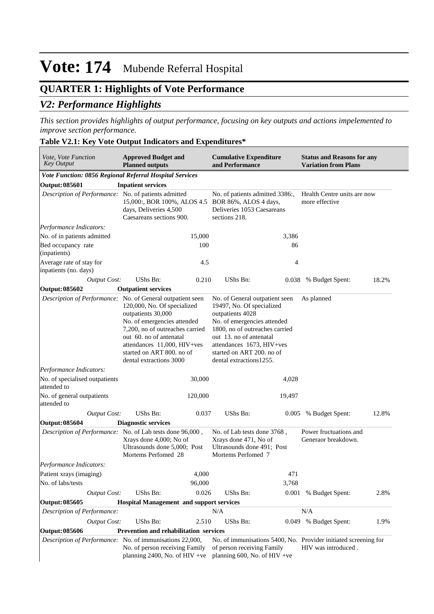## **QUARTER 1: Highlights of Vote Performance**

## *V2: Performance Highlights*

*This section provides highlights of output performance, focusing on key outputs and actions impelemented to improve section performance.*

### **Table V2.1: Key Vote Output Indicators and Expenditures\***

| <i>Vote, Vote Function</i><br><b>Key Output</b>            | <b>Approved Budget and</b><br><b>Planned outputs</b>                                                                                                                                                                                  |         | <b>Cumulative Expenditure</b><br>and Performance                                                                                                                                                                                                                  |        | <b>Status and Reasons for any</b><br><b>Variation from Plans</b>                       |       |
|------------------------------------------------------------|---------------------------------------------------------------------------------------------------------------------------------------------------------------------------------------------------------------------------------------|---------|-------------------------------------------------------------------------------------------------------------------------------------------------------------------------------------------------------------------------------------------------------------------|--------|----------------------------------------------------------------------------------------|-------|
| Vote Function: 0856 Regional Referral Hospital Services    |                                                                                                                                                                                                                                       |         |                                                                                                                                                                                                                                                                   |        |                                                                                        |       |
| Output: 085601                                             | <b>Inpatient services</b>                                                                                                                                                                                                             |         |                                                                                                                                                                                                                                                                   |        |                                                                                        |       |
| Description of Performance: No. of patients admitted       | days, Deliveries 4,500<br>Caesareans sections 900.                                                                                                                                                                                    |         | No. of patients admitted 3386:,<br>15,000:, BOR 100%, ALOS 4.5 BOR 86%, ALOS 4 days,<br>Deliveries 1053 Caesareans<br>sections 218.                                                                                                                               |        | Health Centre units are now<br>more effective                                          |       |
| Performance Indicators:                                    |                                                                                                                                                                                                                                       |         |                                                                                                                                                                                                                                                                   |        |                                                                                        |       |
| No. of in patients admitted                                |                                                                                                                                                                                                                                       | 15,000  |                                                                                                                                                                                                                                                                   | 3,386  |                                                                                        |       |
| Bed occupancy rate<br>(inpatients)                         |                                                                                                                                                                                                                                       | 100     |                                                                                                                                                                                                                                                                   | 86     |                                                                                        |       |
| Average rate of stay for<br>inpatients (no. days)          |                                                                                                                                                                                                                                       | 4.5     |                                                                                                                                                                                                                                                                   | 4      |                                                                                        |       |
| <b>Output Cost:</b>                                        | UShs Bn:                                                                                                                                                                                                                              | 0.210   | UShs Bn:                                                                                                                                                                                                                                                          | 0.038  | % Budget Spent:                                                                        | 18.2% |
| Output: 085602                                             | <b>Outpatient services</b>                                                                                                                                                                                                            |         |                                                                                                                                                                                                                                                                   |        |                                                                                        |       |
| Description of Performance: No. of General outpatient seen | 120,000, No. Of specialized<br>outpatients 30,000<br>No. of emergencies attended<br>7,200, no of outreaches carried<br>out 60. no of antenatal<br>attendances 11,000, HIV+ves<br>started on ART 800. no of<br>dental extractions 3000 |         | No. of General outpatient seen<br>19497, No. Of specialized<br>outpatients 4028<br>No. of emergencies attended<br>1800, no of outreaches carried<br>out 13. no of antenatal<br>attendances 1673, HIV+ves<br>started on ART 200. no of<br>dental extractions 1255. |        | As planned                                                                             |       |
| Performance Indicators:                                    |                                                                                                                                                                                                                                       |         |                                                                                                                                                                                                                                                                   |        |                                                                                        |       |
| No. of specialised outpatients<br>attended to              |                                                                                                                                                                                                                                       | 30,000  |                                                                                                                                                                                                                                                                   | 4,028  |                                                                                        |       |
| No. of general outpatients<br>attended to                  |                                                                                                                                                                                                                                       | 120,000 |                                                                                                                                                                                                                                                                   | 19,497 |                                                                                        |       |
| <b>Output Cost:</b>                                        | <b>UShs Bn:</b>                                                                                                                                                                                                                       | 0.037   | UShs Bn:                                                                                                                                                                                                                                                          | 0.005  | % Budget Spent:                                                                        | 12.8% |
| Output: 085604                                             | <b>Diagnostic services</b>                                                                                                                                                                                                            |         |                                                                                                                                                                                                                                                                   |        |                                                                                        |       |
| Description of Performance: No. of Lab tests done 96,000,  | Xrays done 4,000; No of<br>Ultrasounds done 5,000; Post<br>Mortems Perfomed 28                                                                                                                                                        |         | No. of Lab tests done 3768,<br>Xrays done 471, No of<br>Ultrasounds done 491; Post<br>Mortems Perfomed 7                                                                                                                                                          |        | Power fructuations and<br>Generaor breakdown.                                          |       |
| Performance Indicators:                                    |                                                                                                                                                                                                                                       |         |                                                                                                                                                                                                                                                                   |        |                                                                                        |       |
| Patient xrays (imaging)                                    |                                                                                                                                                                                                                                       | 4,000   |                                                                                                                                                                                                                                                                   | 471    |                                                                                        |       |
| No. of labs/tests                                          |                                                                                                                                                                                                                                       | 96,000  |                                                                                                                                                                                                                                                                   | 3,768  |                                                                                        |       |
| <b>Output Cost:</b>                                        | UShs Bn:                                                                                                                                                                                                                              | 0.026   | UShs Bn:                                                                                                                                                                                                                                                          |        | 0.001 % Budget Spent:                                                                  | 2.8%  |
| Output: 085605                                             | <b>Hospital Management and support services</b>                                                                                                                                                                                       |         |                                                                                                                                                                                                                                                                   |        |                                                                                        |       |
| Description of Performance:                                |                                                                                                                                                                                                                                       |         | N/A                                                                                                                                                                                                                                                               |        | N/A                                                                                    |       |
| <b>Output Cost:</b>                                        | UShs Bn:                                                                                                                                                                                                                              | 2.510   | UShs Bn:                                                                                                                                                                                                                                                          |        | 0.049 % Budget Spent:                                                                  | 1.9%  |
| Output: 085606                                             | Prevention and rehabilitation services                                                                                                                                                                                                |         |                                                                                                                                                                                                                                                                   |        |                                                                                        |       |
| Description of Performance: No. of immunisations 22,000,   | No. of person receiving Family<br>planning 2400, No. of HIV +ve                                                                                                                                                                       |         | of person receiving Family<br>planning 600, No. of HIV +ve                                                                                                                                                                                                        |        | No. of immunisations 5400, No. Provider initiated screening for<br>HIV was introduced. |       |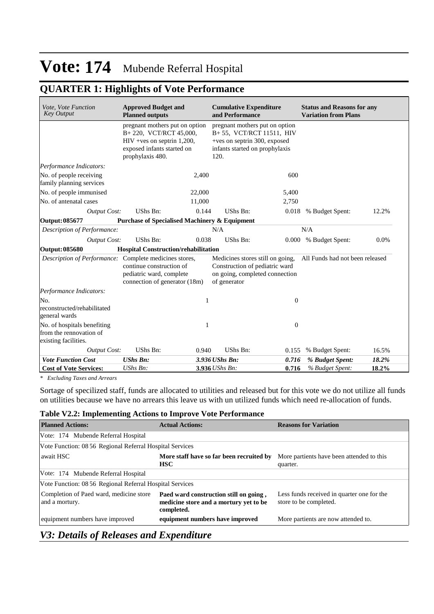## **QUARTER 1: Highlights of Vote Performance**

| Vote, Vote Function<br><b>Key Output</b>                                       | <b>Approved Budget and</b><br><b>Planned outputs</b>                                                                                        |        | <b>Cumulative Expenditure</b><br>and Performance                                                                                     |                  | <b>Status and Reasons for any</b><br><b>Variation from Plans</b> |       |
|--------------------------------------------------------------------------------|---------------------------------------------------------------------------------------------------------------------------------------------|--------|--------------------------------------------------------------------------------------------------------------------------------------|------------------|------------------------------------------------------------------|-------|
|                                                                                | pregnant mothers put on option<br>B+220, VCT/RCT 45,000,<br>$HIV + ves$ on septrin 1,200,<br>exposed infants started on<br>prophylaxis 480. |        | pregnant mothers put on option<br>B+55, VCT/RCT 11511, HIV<br>+ves on septrin 300, exposed<br>infants started on prophylaxis<br>120. |                  |                                                                  |       |
| Performance Indicators:                                                        |                                                                                                                                             |        |                                                                                                                                      |                  |                                                                  |       |
| No. of people receiving<br>family planning services                            |                                                                                                                                             | 2,400  |                                                                                                                                      | 600              |                                                                  |       |
| No. of people immunised                                                        |                                                                                                                                             | 22,000 |                                                                                                                                      | 5,400            |                                                                  |       |
| No. of antenatal cases                                                         |                                                                                                                                             | 11,000 |                                                                                                                                      | 2,750            |                                                                  |       |
| <b>Output Cost:</b>                                                            | UShs Bn:                                                                                                                                    | 0.144  | UShs Bn:                                                                                                                             | 0.018            | % Budget Spent:                                                  | 12.2% |
| Output: 085677                                                                 | <b>Purchase of Specialised Machinery &amp; Equipment</b>                                                                                    |        |                                                                                                                                      |                  |                                                                  |       |
| Description of Performance:                                                    |                                                                                                                                             |        | N/A                                                                                                                                  |                  | N/A                                                              |       |
| <b>Output Cost:</b>                                                            | UShs Bn:                                                                                                                                    | 0.038  | UShs Bn:                                                                                                                             | 0.000            | % Budget Spent:                                                  | 0.0%  |
| <b>Output: 085680</b>                                                          | Hospital Construction/rehabilitation                                                                                                        |        |                                                                                                                                      |                  |                                                                  |       |
| Description of Performance: Complete medicines stores,                         | continue construction of<br>pediatric ward, complete<br>connection of generator (18m)                                                       |        | Medicines stores still on going,<br>Construction of pediatric ward<br>on going, completed connection<br>of generator                 |                  | All Funds had not been released                                  |       |
| Performance Indicators:                                                        |                                                                                                                                             |        |                                                                                                                                      |                  |                                                                  |       |
| No.<br>reconstructed/rehabilitated<br>general wards                            |                                                                                                                                             | 1      |                                                                                                                                      | $\boldsymbol{0}$ |                                                                  |       |
| No. of hospitals benefiting<br>from the rennovation of<br>existing facilities. |                                                                                                                                             | 1      |                                                                                                                                      | $\boldsymbol{0}$ |                                                                  |       |
| <b>Output Cost:</b>                                                            | UShs Bn:                                                                                                                                    | 0.940  | UShs Bn:                                                                                                                             | 0.155            | % Budget Spent:                                                  | 16.5% |
| <b>Vote Function Cost</b>                                                      | <b>UShs Bn:</b>                                                                                                                             |        | 3.936 UShs Bn:                                                                                                                       | 0.716            | % Budget Spent:                                                  | 18.2% |
| <b>Cost of Vote Services:</b>                                                  | UShs Bn:                                                                                                                                    |        | 3.936 UShs Bn:                                                                                                                       | 0.716            | % Budget Spent:                                                  | 18.2% |

*\* Excluding Taxes and Arrears*

Sortage of specilized staff, funds are allocated to utilities and released but for this vote we do not utilize all funds on utilities because we have no arrears this leave us with un utilized funds which need re-allocation of funds.

### **Table V2.2: Implementing Actions to Improve Vote Performance**

| <b>Planned Actions:</b>                                   | <b>Actual Actions:</b>                                                                         | <b>Reasons for Variation</b>                                         |  |  |  |  |  |  |
|-----------------------------------------------------------|------------------------------------------------------------------------------------------------|----------------------------------------------------------------------|--|--|--|--|--|--|
| Vote: 174 Mubende Referral Hospital                       |                                                                                                |                                                                      |  |  |  |  |  |  |
| Vote Function: 08 56 Regional Referral Hospital Services  |                                                                                                |                                                                      |  |  |  |  |  |  |
| await HSC                                                 | More staff have so far been recruited by<br><b>HSC</b>                                         | More partients have been attended to this<br>quarter.                |  |  |  |  |  |  |
| Vote: 174 Mubende Referral Hospital                       |                                                                                                |                                                                      |  |  |  |  |  |  |
| Vote Function: 08 56 Regional Referral Hospital Services  |                                                                                                |                                                                      |  |  |  |  |  |  |
| Completion of Paed ward, medicine store<br>and a mortury. | Paed ward construction still on going,<br>medicine store and a mortury yet to be<br>completed. | Less funds received in quarter one for the<br>store to be completed. |  |  |  |  |  |  |
| equipment numbers have improved                           | equipment numbers have improved                                                                | More partients are now attended to.                                  |  |  |  |  |  |  |

## *V3: Details of Releases and Expenditure*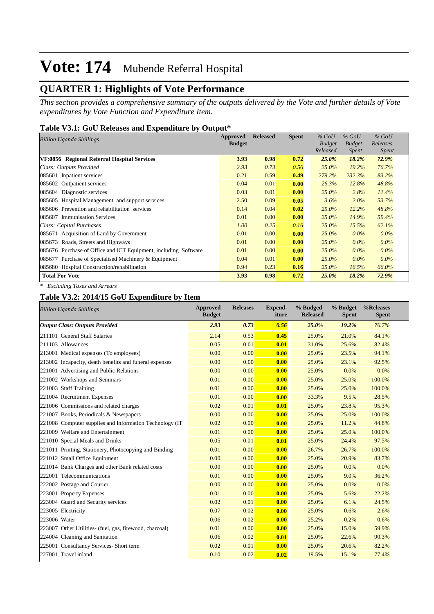## **QUARTER 1: Highlights of Vote Performance**

*This section provides a comprehensive summary of the outputs delivered by the Vote and further details of Vote expenditures by Vote Function and Expenditure Item.*

### **Table V3.1: GoU Releases and Expenditure by Output\***

| <b>Billion Uganda Shillings</b>                                 | <b>Approved</b> | <b>Released</b> | <b>Spent</b> | $%$ GoU       | $%$ GoU       | $%$ GoU      |
|-----------------------------------------------------------------|-----------------|-----------------|--------------|---------------|---------------|--------------|
|                                                                 | <b>Budget</b>   |                 |              | <b>Budget</b> | <b>Budget</b> | Releases     |
|                                                                 |                 |                 |              | Released      | <i>Spent</i>  | <i>Spent</i> |
| VF:0856 Regional Referral Hospital Services                     | 3.93            | 0.98            | 0.72         | 25.0%         | 18.2%         | 72.9%        |
| Class: Outputs Provided                                         | 2.93            | 0.73            | 0.56         | $25.0\%$      | 19.2%         | 76.7%        |
| 085601 Inpatient services                                       | 0.21            | 0.59            | 0.49         | 279.2%        | 232.3%        | 83.2%        |
| 085602 Outpatient services                                      | 0.04            | 0.01            | 0.00         | 26.3%         | 12.8%         | 48.8%        |
| 085604 Diagnostic services                                      | 0.03            | 0.01            | 0.00         | $25.0\%$      | 2.8%          | 11.4%        |
| 085605 Hospital Management and support services                 | 2.50            | 0.09            | 0.05         | 3.6%          | $2.0\%$       | 53.7%        |
| 085606 Prevention and rehabilitation services                   | 0.14            | 0.04            | 0.02         | $25.0\%$      | 12.2%         | 48.8%        |
| 085607 Immunisation Services                                    | 0.01            | 0.00            | 0.00         | $25.0\%$      | 14.9%         | 59.4%        |
| Class: Capital Purchases                                        | 1.00            | 0.25            | 0.16         | $25.0\%$      | 15.5%         | 62.1%        |
| 085671 Acquisition of Land by Government                        | 0.01            | 0.00            | 0.00         | $25.0\%$      | $0.0\%$       | $0.0\%$      |
| 085673 Roads, Streets and Highways                              | 0.01            | 0.00            | 0.00         | $25.0\%$      | $0.0\%$       | $0.0\%$      |
| 085676 Purchase of Office and ICT Equipment, including Software | 0.01            | 0.00            | 0.00         | $25.0\%$      | $0.0\%$       | $0.0\%$      |
| 085677 Purchase of Specialised Machinery & Equipment            | 0.04            | 0.01            | 0.00         | $25.0\%$      | $0.0\%$       | $0.0\%$      |
| 085680 Hospital Construction/rehabilitation                     | 0.94            | 0.23            | 0.16         | $25.0\%$      | 16.5%         | 66.0%        |
| <b>Total For Vote</b>                                           | 3.93            | 0.98            | 0.72         | 25.0%         | 18.2%         | 72.9%        |

*\* Excluding Taxes and Arrears*

### **Table V3.2: 2014/15 GoU Expenditure by Item**

| <b>Billion Uganda Shillings</b>                          | <b>Approved</b><br><b>Budget</b> | <b>Releases</b> | <b>Expend-</b><br>iture | % Budged<br><b>Released</b> | % Budget<br><b>Spent</b> | %Releases<br><b>Spent</b> |
|----------------------------------------------------------|----------------------------------|-----------------|-------------------------|-----------------------------|--------------------------|---------------------------|
| <b>Output Class: Outputs Provided</b>                    | 2.93                             | 0.73            | 0.56                    | 25.0%                       | 19.2%                    | 76.7%                     |
| 211101 General Staff Salaries                            | 2.14                             | 0.53            | 0.45                    | 25.0%                       | 21.0%                    | 84.1%                     |
| 211103 Allowances                                        | 0.05                             | 0.01            | 0.01                    | 31.0%                       | 25.6%                    | 82.4%                     |
| 213001 Medical expenses (To employees)                   | 0.00                             | 0.00            | 0.00                    | 25.0%                       | 23.5%                    | 94.1%                     |
| 213002 Incapacity, death benefits and funeral expenses   | 0.00                             | 0.00            | 0.00                    | 25.0%                       | 23.1%                    | 92.5%                     |
| 221001 Advertising and Public Relations                  | 0.00                             | 0.00            | 0.00                    | 25.0%                       | 0.0%                     | 0.0%                      |
| 221002 Workshops and Seminars                            | 0.01                             | 0.00            | 0.00                    | 25.0%                       | 25.0%                    | 100.0%                    |
| 221003 Staff Training                                    | 0.01                             | 0.00            | 0.00                    | 25.0%                       | 25.0%                    | 100.0%                    |
| 221004 Recruitment Expenses                              | 0.01                             | 0.00            | 0.00                    | 33.3%                       | 9.5%                     | 28.5%                     |
| 221006 Commissions and related charges                   | 0.02                             | 0.01            | 0.01                    | 25.0%                       | 23.8%                    | 95.3%                     |
| 221007 Books, Periodicals & Newspapers                   | 0.00                             | 0.00            | 0.00                    | 25.0%                       | 25.0%                    | 100.0%                    |
| 221008 Computer supplies and Information Technology (IT) | 0.02                             | 0.00            | 0.00                    | 25.0%                       | 11.2%                    | 44.8%                     |
| 221009 Welfare and Entertainment                         | 0.01                             | 0.00            | 0.00                    | 25.0%                       | 25.0%                    | 100.0%                    |
| 221010 Special Meals and Drinks                          | 0.05                             | 0.01            | 0.01                    | 25.0%                       | 24.4%                    | 97.5%                     |
| 221011 Printing, Stationery, Photocopying and Binding    | 0.01                             | 0.00            | 0.00                    | 26.7%                       | 26.7%                    | 100.0%                    |
| 221012 Small Office Equipment                            | 0.00                             | 0.00            | 0.00                    | 25.0%                       | 20.9%                    | 83.7%                     |
| 221014 Bank Charges and other Bank related costs         | 0.00                             | 0.00            | 0.00                    | 25.0%                       | 0.0%                     | 0.0%                      |
| 222001 Telecommunications                                | 0.01                             | 0.00            | 0.00                    | 25.0%                       | 9.0%                     | 36.2%                     |
| 222002 Postage and Courier                               | 0.00                             | 0.00            | 0.00                    | 25.0%                       | 0.0%                     | 0.0%                      |
| 223001 Property Expenses                                 | 0.01                             | 0.00            | 0.00                    | 25.0%                       | 5.6%                     | 22.2%                     |
| 223004 Guard and Security services                       | 0.02                             | 0.01            | 0.00                    | 25.0%                       | 6.1%                     | 24.5%                     |
| 223005 Electricity                                       | 0.07                             | 0.02            | 0.00                    | 25.0%                       | 0.6%                     | 2.6%                      |
| 223006 Water                                             | 0.06                             | 0.02            | 0.00                    | 25.2%                       | 0.2%                     | 0.6%                      |
| 223007 Other Utilities- (fuel, gas, firewood, charcoal)  | 0.01                             | 0.00            | 0.00                    | 25.0%                       | 15.0%                    | 59.9%                     |
| 224004 Cleaning and Sanitation                           | 0.06                             | 0.02            | 0.01                    | 25.0%                       | 22.6%                    | 90.3%                     |
| 225001 Consultancy Services- Short term                  | 0.02                             | 0.01            | 0.00                    | 25.0%                       | 20.6%                    | 82.2%                     |
| 227001 Travel inland                                     | 0.10                             | 0.02            | 0.02                    | 19.5%                       | 15.1%                    | 77.4%                     |